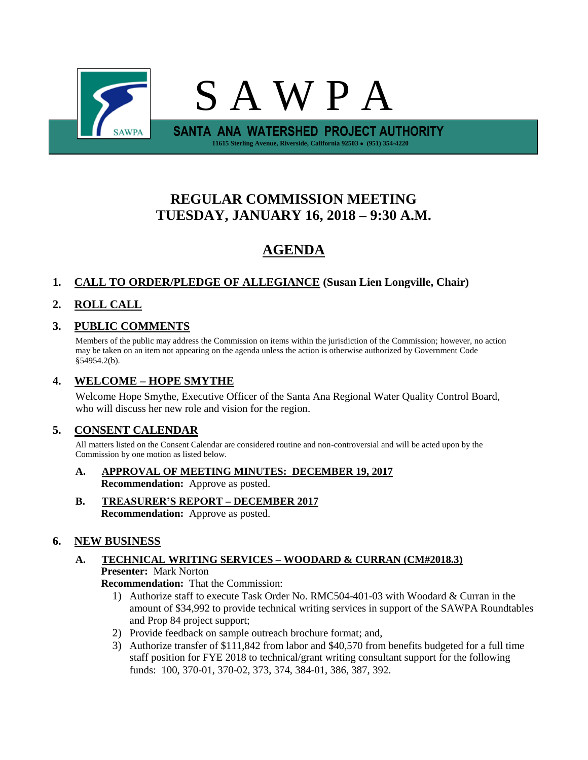

# **REGULAR COMMISSION MEETING TUESDAY, JANUARY 16, 2018 – 9:30 A.M.**

# **AGENDA**

# **1. CALL TO ORDER/PLEDGE OF ALLEGIANCE (Susan Lien Longville, Chair)**

# **2. ROLL CALL**

## **3. PUBLIC COMMENTS**

Members of the public may address the Commission on items within the jurisdiction of the Commission; however, no action may be taken on an item not appearing on the agenda unless the action is otherwise authorized by Government Code §54954.2(b).

### **4. WELCOME – HOPE SMYTHE**

Welcome Hope Smythe, Executive Officer of the Santa Ana Regional Water Quality Control Board, who will discuss her new role and vision for the region.

### **5. CONSENT CALENDAR**

All matters listed on the Consent Calendar are considered routine and non-controversial and will be acted upon by the Commission by one motion as listed below.

- **A. APPROVAL OF MEETING MINUTES: DECEMBER 19, 2017 Recommendation:** Approve as posted.
- **B. TREASURER'S REPORT – DECEMBER 2017 Recommendation:** Approve as posted.

### **6. NEW BUSINESS**

### **A. TECHNICAL WRITING SERVICES – WOODARD & CURRAN (CM#2018.3) Presenter:** Mark Norton

**Recommendation:** That the Commission:

- 1) Authorize staff to execute Task Order No. RMC504-401-03 with Woodard & Curran in the amount of \$34,992 to provide technical writing services in support of the SAWPA Roundtables and Prop 84 project support;
- 2) Provide feedback on sample outreach brochure format; and,
- 3) Authorize transfer of \$111,842 from labor and \$40,570 from benefits budgeted for a full time staff position for FYE 2018 to technical/grant writing consultant support for the following funds: 100, 370-01, 370-02, 373, 374, 384-01, 386, 387, 392.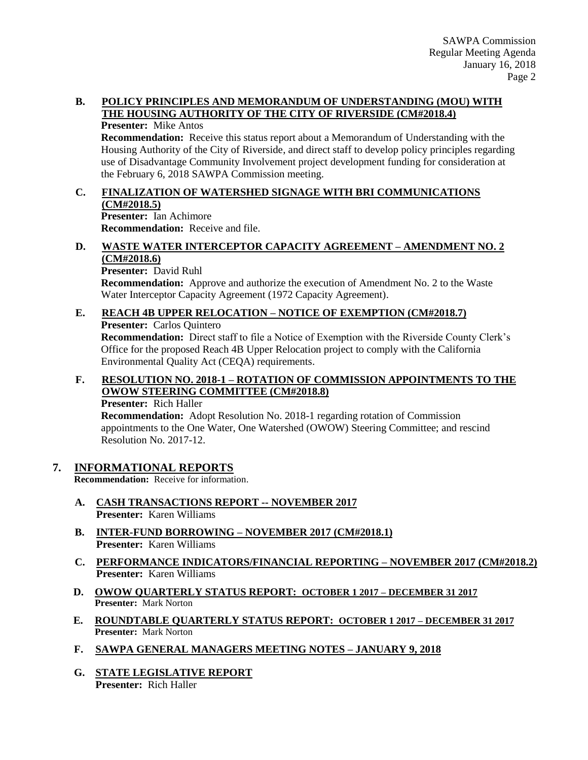#### **B. POLICY PRINCIPLES AND MEMORANDUM OF UNDERSTANDING (MOU) WITH THE HOUSING AUTHORITY OF THE CITY OF RIVERSIDE (CM#2018.4)**

**Presenter:** Mike Antos

**Recommendation:** Receive this status report about a Memorandum of Understanding with the Housing Authority of the City of Riverside, and direct staff to develop policy principles regarding use of Disadvantage Community Involvement project development funding for consideration at the February 6, 2018 SAWPA Commission meeting.

#### **C. FINALIZATION OF WATERSHED SIGNAGE WITH BRI COMMUNICATIONS (CM#2018.5) Presenter:** Ian Achimore

**Recommendation:** Receive and file.

#### **D. WASTE WATER INTERCEPTOR CAPACITY AGREEMENT – AMENDMENT NO. 2 (CM#2018.6)**

**Presenter:** David Ruhl

**Recommendation:** Approve and authorize the execution of Amendment No. 2 to the Waste Water Interceptor Capacity Agreement (1972 Capacity Agreement).

## **E. REACH 4B UPPER RELOCATION – NOTICE OF EXEMPTION (CM#2018.7)**

**Presenter:** Carlos Quintero

**Recommendation:** Direct staff to file a Notice of Exemption with the Riverside County Clerk's Office for the proposed Reach 4B Upper Relocation project to comply with the California Environmental Quality Act (CEQA) requirements.

## **F. RESOLUTION NO. 2018-1 – ROTATION OF COMMISSION APPOINTMENTS TO THE OWOW STEERING COMMITTEE (CM#2018.8)**

**Presenter:** Rich Haller

**Recommendation:** Adopt Resolution No. 2018-1 regarding rotation of Commission appointments to the One Water, One Watershed (OWOW) Steering Committee; and rescind Resolution No. 2017-12.

### **7. INFORMATIONAL REPORTS**

**Recommendation:** Receive for information.

- **A. CASH TRANSACTIONS REPORT -- NOVEMBER 2017 Presenter:** Karen Williams
- **B. INTER-FUND BORROWING – NOVEMBER 2017 (CM#2018.1) Presenter:** Karen Williams
- **C. PERFORMANCE INDICATORS/FINANCIAL REPORTING – NOVEMBER 2017 (CM#2018.2) Presenter:** Karen Williams
- **D. OWOW QUARTERLY STATUS REPORT: OCTOBER 1 2017 – DECEMBER 31 2017 Presenter:** Mark Norton
- **E. ROUNDTABLE QUARTERLY STATUS REPORT: OCTOBER 1 2017 – DECEMBER 31 2017 Presenter:** Mark Norton
- **F. SAWPA GENERAL MANAGERS MEETING NOTES – JANUARY 9, 2018**
- **G. STATE LEGISLATIVE REPORT Presenter:** Rich Haller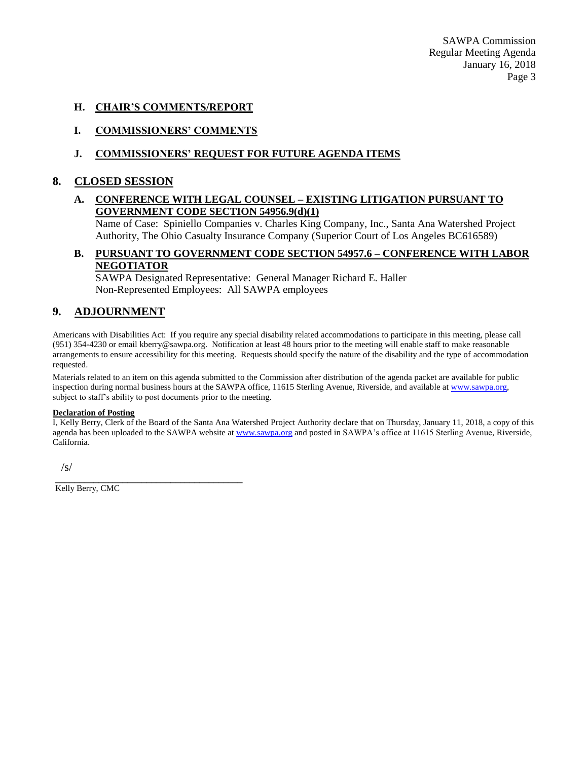SAWPA Commission Regular Meeting Agenda January 16, 2018 Page 3

#### **H. CHAIR'S COMMENTS/REPORT**

#### **I. COMMISSIONERS' COMMENTS**

#### **J. COMMISSIONERS' REQUEST FOR FUTURE AGENDA ITEMS**

#### **8. CLOSED SESSION**

#### **A. CONFERENCE WITH LEGAL COUNSEL – EXISTING LITIGATION PURSUANT TO GOVERNMENT CODE SECTION 54956.9(d)(1)**

Name of Case: Spiniello Companies v. Charles King Company, Inc., Santa Ana Watershed Project Authority, The Ohio Casualty Insurance Company (Superior Court of Los Angeles BC616589)

#### **B. PURSUANT TO GOVERNMENT CODE SECTION 54957.6 – CONFERENCE WITH LABOR NEGOTIATOR**

SAWPA Designated Representative: General Manager Richard E. Haller Non-Represented Employees: All SAWPA employees

#### **9. ADJOURNMENT**

Americans with Disabilities Act: If you require any special disability related accommodations to participate in this meeting, please call (951) 354-4230 or email kberry@sawpa.org. Notification at least 48 hours prior to the meeting will enable staff to make reasonable arrangements to ensure accessibility for this meeting. Requests should specify the nature of the disability and the type of accommodation requested.

Materials related to an item on this agenda submitted to the Commission after distribution of the agenda packet are available for public inspection during normal business hours at the SAWPA office, 11615 Sterling Avenue, Riverside, and available a[t www.sawpa.org,](http://www.sawpa.org/) subject to staff's ability to post documents prior to the meeting.

#### **Declaration of Posting**

I, Kelly Berry, Clerk of the Board of the Santa Ana Watershed Project Authority declare that on Thursday, January 11, 2018, a copy of this agenda has been uploaded to the SAWPA website at [www.sawpa.org](http://www.sawpa.org/) and posted in SAWPA's office at 11615 Sterling Avenue, Riverside, California.

 $\sqrt{s}$ 

\_\_\_\_\_\_\_\_\_\_\_\_\_\_\_\_\_\_\_\_\_\_\_\_\_\_\_\_\_\_\_\_\_\_\_\_\_\_\_ Kelly Berry, CMC